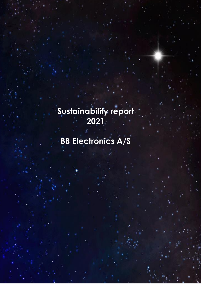## **Sustainability report 2021**

# **BB Electronics A/S**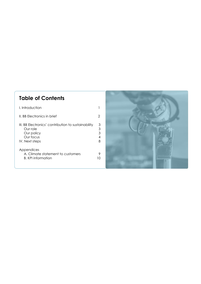## **Table of Contents**

| I. Introduction                                                                                              |                       |
|--------------------------------------------------------------------------------------------------------------|-----------------------|
| II. BB Flectronics in brief                                                                                  | 2                     |
| III. BB Electronics' contribution to sustainability<br>Our role<br>Our policy<br>Our focus<br>IV. Next steps | 3<br>3<br>3<br>4<br>8 |
| Appendices<br>A. Climate statement to customers<br>B. KPI information                                        | I ( )                 |

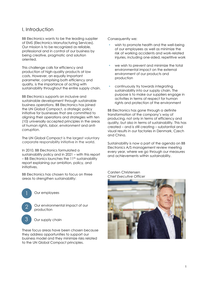## <span id="page-2-0"></span>I. Introduction

BB Electronics wants to be the leading supplier of EMS (Electronics Manufacturing Services). Our mission is to be recognized as reliable, professional and in control of our business by being creative, pragmatic and solution oriented.

This challenge calls for efficiency and production of high-quality products at low costs. However, an equally important parameter, comprising both efficiency and quality, is the importance of acting with sustainability throughout the entire supply chain.

BB Electronics supports an inclusive and sustainable development through sustainable business operations. BB Electronics has joined the UN Global Compact, a strategic policy initiative for businesses that are committed to aligning their operations and strategies with [ten](http://www.unglobalcompact.org/AboutTheGC/TheTenPrinciples/index.html)  [\(10\) universally accepted principles](http://www.unglobalcompact.org/AboutTheGC/TheTenPrinciples/index.html) in the areas of *[human rights](http://www.unglobalcompact.org/AboutTheGC/TheTenPrinciples/humanRights.html)*, *[labor](http://www.unglobalcompact.org/AboutTheGC/TheTenPrinciples/labour.html)*, *[environment](http://www.unglobalcompact.org/AboutTheGC/TheTenPrinciples/environment.html)* and *[anti](http://www.unglobalcompact.org/AboutTheGC/TheTenPrinciples/anti-corruption.html)[corruption](http://www.unglobalcompact.org/AboutTheGC/TheTenPrinciples/anti-corruption.html)*.

The UN Global Compact is the largest voluntary corporate responsibility initiative in the world.

In 2010, BB Electronics formulated a sustainability policy and in 2021 – with this report  $-$  BB Electronics launches the 11<sup>th</sup> sustainability report explaining our ambition, policy, and initiatives.

BB Electronics has chosen to focus on three areas to strengthen sustainability:



These focus areas have been chosen because they address opportunities to support our business model and they minimize risks related to the UN Global Compact principles.

Consequently we:

- wish to promote health and the well-being of our employees as well as minimize the risk of working accidents and work-related injuries, including one-sided, repetitive work
- we wish to prevent and minimize the total environmental impact on the external environment of our products and production
- continuously try towards integrating sustainability into our supply chain. The purpose is to make our suppliers engage in activities in terms of respect for human rights and protection of the environment

BB Electronics has gone through a definite transformation of the company's way of producing, not only in terms of efficiency and quality, but also in terms of sustainability. This has created – and is still creating – substantial and visual results in our factories in Denmark, Czech and China.

Sustainability is now a part of the agenda on BB Electronics A/S management review meeting every year, where we go through our measures and achievements within sustainability.

Carsten Christensen *Chief Executive Officer* 

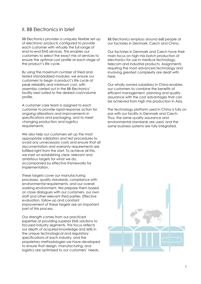## <span id="page-3-0"></span>II. BB Electronics in brief

BB Electronics provides a uniquely flexible set-up of electronic products configured to provide each customer with virtually the full range of end-to-end EMS services. This enables our customers to select the exact mix of services to ensure the optimal cost profile at each stage of the product's life cycle.

By using the maximum number of tried-andtested standardized modules, we ensure our customers to begin a product's life cycle at peak reliability and minimum cost, with assembly carried out in the BB Electronics' facility best suited to the desired cost/volume profile.

A customer care team is assigned to each customer to provide rapid-response action for ongoing alterations and improvements in specifications and packaging, and to meet changing production and logistics requirements.

We also help our customers set up the most appropriate validation and test procedures to avoid any unnecessary costs and ensure that all documentation and warranty requirements are fulfilled right from the start. To achieve all this, we insist on establishing clear, relevant and ambitious targets for what we do, accompanied by effective frameworks for implementation.

These targets cover our manufacturing processes, quality standards, compliance with environmental requirements, and our overall working environment. We prepare them based on close dialogues with our customers, our own staff and other relevant third parties. Effective evaluation, follow-up and constant improvement of these targets are an important part of this process.

Our strength comes from our practiced expertise at providing superior EMS solutions to focused industry segments. This focus reflects our depth of acquired knowledge and skills in the unique technological and regulatory specifications of each industry, and the proprietary methodologies we have developed to ensure that design, manufacturing, and logistics are optimized to our customers' needs.

BB Electronics employs around 668 people at our factories in Denmark, Czech and China.

Our factories in Denmark and Czech have their main focus on high mix batch production of electronics for use in medical technology, telecom and industrial products. Assignments requiring the most advanced technology and involving greatest complexity are dealt with here.

Our wholly owned subsidiary in China enables our customers to combine the benefits of efficient management, planning and quality assurance with the cost advantages that can be achieved from high mix production in Asia.

The technology platform used in China is fully on par with our facility in Denmark and Czech. Thus, the same quality assurance and environmental standards are used, and the same business systems are fully integrated.

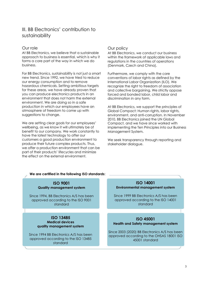## <span id="page-4-0"></span>III. BB Electronics' contribution to sustainability

#### <span id="page-4-1"></span>Our role

At BB Electronics, we believe that a sustainable approach to business is essential, which is why it forms a core part of the way in which we do business.

For BB Electronics, sustainability is not just a smart new trend. Since 1992, we have tried to reduce our energy consumption and to remove hazardous chemicals. Setting ambitious targets for these areas, we have already proven that you can produce electronics products in an environment that does not harm the external environment. We are doing so in a safe production in which our employees have an atmosphere of freedom to come up with suggestions to change.

We are setting clear goals for our employees' wellbeing, as we know it will ultimately be of benefit to our company. We work constantly to have the latest technology to offer our customers a good production environment to produce their future complex products. Thus, we offer a production environment that can be part of their products' lifecycles and minimize the effect on the external environment.

#### <span id="page-4-2"></span>Our policy

At BB Electronics, we conduct our business within the framework of applicable laws and regulations in the countries of operations (Denmark, Czech and China).

Furthermore, we comply with the core conventions of labor rights as defined by the International Labor Organization (ILO). We recognize the right to freedom of association and collective bargaining. We strictly oppose forced and bonded labor, child labor and discrimination in any form.

At BB Electronics, we support the principles of Global Compact: Human rights, labor rights, environment, and anti-corruption. In November 2010, BB Electronics joined the UN Global Compact, and we have since worked with implementing the Ten Principles into our Business Management System.

We seek transparency through reporting and stakeholder dialogue.

| We are certified in the following ISO standards:                                          |  |                                                                                                              |  |
|-------------------------------------------------------------------------------------------|--|--------------------------------------------------------------------------------------------------------------|--|
| <b>ISO 9001</b><br><b>Quality management system</b>                                       |  | <b>ISO 14001</b><br><b>Environmental management system</b>                                                   |  |
| Since 1994, BB Electronics A/S has been<br>approved according to the ISO 9001<br>standard |  | Since 1999 BB Electronics A/S has been<br>approved according to the ISO 14001<br>standard                    |  |
|                                                                                           |  |                                                                                                              |  |
| <b>ISO 13485</b><br><b>Medical devices</b><br>quality management system                   |  | <b>ISO 45001</b><br><b>Health and Safety management system</b>                                               |  |
| Since 1994 BB Electronics A/S has been<br>approved according to the ISO 13485<br>standard |  | Since 2003 (2020) BB Electronics A/S has been<br>approved according to the OHSAS 18001 ISO<br>45001 standard |  |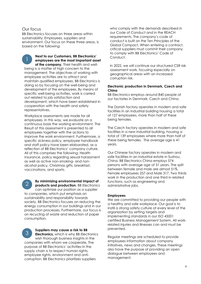#### <span id="page-5-0"></span>Our focus

1

BB Electronics focuses on three areas within sustainability: Employees, suppliers and environment. Our focus on these three areas, is based on the following:

> **Next to our Customers, BB Electronics' employees are the most important asset of the company.** Their health and well-

being is a matter of high concern to the management. The objectives of working with employee activities are to attract and maintain qualified employees. BB Electronics is doing so by focusing on the well-being and development of the employees. By means of specific well-being activities, work is carried out related to job satisfaction and development, which have been established in cooperation with the health and safety representatives.

Workplace assessments are made for all employees. In this way, we evaluate on a continuous basis the working environment. The Result of this assessment is presented to all employees together with the actions to improve the work environment. Furthermore, a specific sickness policy, employee handbook and staff policy have been elaborated, as a reflection of BB Electronics' company culture. All of this comprises the following: Health insurance, policy regarding sexual harassment as well as active non-smoking- and nonalcohol policy, Christmas gifts, breakfast, vaccinations, and sports.

**By minimizing environmental impact of products and production**, BB Electronics can optimize our position as a supplier to companies, which put emphasis on sustainability and responsibility towards society. BB Electronics focuses on reducing the energy consumption in our buildings and in our production processes. Furthermore, our focus is on recycling of waste and reduction of paper consumption.  $\mathcal{P}$ 

**Suppliers may cause a risk to BB Electronics,** which is why BB Electronics wish thorough business insights in the companies with whom we cooperate**.** The purpose of BB Electronics' activities in the supply chain is to respect human rights, employee rights, environment and anticorruption. BB Electronics prioritizes suppliers 3

who comply with the demands described in our Code of Conduct and in the REACH requirements. The company's code of conduct is built on the Ten Principles of the Global Compact. When entering a contract, critical suppliers must commit their company to comply with BB Electronics' Code of Conduct.

In 2022, we will continue our structured CSR risk assessment work, focusing especially on geographical areas with an increased corruption risk.

#### **Electronic production in Denmark, Czech and China**

BB Electronics employs around 840 people at our factories in Denmark, Czech and China.

The Danish factory operates in modern and safe facilities in an industrial building housing a total of 127 employees, more than half of these being females.

The Czech factory operates in modern and safe facilities in a new industrial building, housing a total of 139 employees where more than half of these being females. The average age is 41 years.

Our Chinese factory operates in modern and safe facilities in an industrial estate in Suzhou, China. BB Electronics China employs 574 persons with average age of 31 years. The split between female and male are almost 51%. Female employees 257 and Male 317. Two thirds work in the production and one third in related functions, such as engineering and administrative jobs.

#### **Employees**

We are committed to providing our people with a healthy and safe workplace. Our goal is to instill a strong safety culture at every level of the organization by setting targets and implementing standards in our ISO 45001 certified Business Management System. All workrelated injuries and illnesses can and must be prevented.

Regular meetings are scheduled to provide employees information about company initiatives, news and changes. These meetings also have the purpose of providing an open dialogue between employees and management.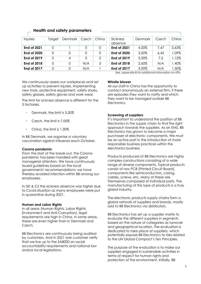| Injuries           | Target | <b>Denmark</b> | Czech    | China         | Sickness<br>absence | Denmark | Czech | China    |
|--------------------|--------|----------------|----------|---------------|---------------------|---------|-------|----------|
| <b>End of 2021</b> | 0      |                | 0        | 0             | <b>End of 2021</b>  | 4,20%   | 7.47  | 0,63%    |
| <b>End of 2020</b> | 0      | 0              | 0        | 0             | <b>End of 2020</b>  | 3,20%   | 6.45  | 1.09%    |
| <b>End of 2019</b> | 0      | 4              | $\Omega$ | $\mathcal{P}$ | <b>End of 2019</b>  | 3,30%   | 7.5   | 1.12%    |
| <b>End of 2018</b> | 0      | 0              | N/A      | 3             | <b>End of 2018</b>  | 2.60%   | N/A   | $1.40\%$ |
| <b>End of 2017</b> |        | 0              | N/A      |               | <b>End of 2017</b>  | 3.00%   | N/A   | $1.30\%$ |

#### **Health and safety parameters**

*See. appendix B for additional information on KPIs*

We continuously assess our workplaces and set up activities to prevent injuries. Implementing new tools, protective equipment, safety shoes, safety glasses, safety gloves and work wear.

The limit for sickness absence is different for the 3 factories.

- Denmark, the limit is 3,50%
- Czech, the limit is 7.00%
- Ching, the limit is 1.30%

In BB Denmark, we organize a voluntary vaccination against influenza each October.

#### **Corona pandemic**

From the start of the break-out, the Corona pandemic has been handled with great managerial attention. We have continuously issued guidelines based on the local governments' recommendations; we have thereby avoided infection within BB among our employees.

In DK & CZ the sickness absence was higher due to Covid situation as many employees were put in quarantine during 2021.

#### **Human and Labor Rights**

In all areas (Human Rights, Labor Rights, Environment and Anti-Corruption), legal requirements are high in China. In some areas, these are even higher than in Denmark and Czech.

BB Electronics are continuously being audited by customers. And in 2021 one customer verify that we live up to the SA8000 on social accountability requirements and national law and/or local legislations.

#### **Whistle blower**

All our staff in China has the opportunity to contact anonymously an external firm, if there are episodes they want to notify and which they want to be managed outside BB Electronics.

#### **Screening of suppliers**

It's important to understand the position of BB Electronics in the supply chain to find the right approach towards the suppliers. As an EMS, BB Electronics has grown to become a major purchaser of electronic components. We must be an active part in the introduction of more responsible business practices within the electronics business.

Products produced at BB Electronics are highly complex constructions consisting of a wide range of diverse components. Typical products consist of raw PCB (Printed Circuit Board), components like semiconductors, casing, cables, screws, etc. Many of these are themselves composed of individual parts. The manufacturing of this type of products is a truly global industry.

The electronic products supply chains form a global network of suppliers and brands, mostly sold to BB Electronics via distributors.

BB Electronics has set up a supplier matrix to evaluate the different suppliers in segments based on the nature of categories as turnover and geographical location. The evaluation is dedicated to take place at suppliers, which potentially expose BB Electronics to risks related to the UN Global Compact's Ten Principles.

The purpose of the evaluation is to make our suppliers engaged in sustainable activities in terms of respect for human rights and protection of the environment. Initially, BB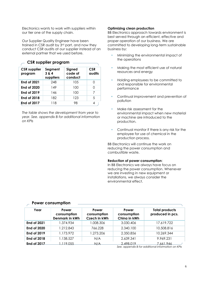Electronics wants to work with suppliers within our tier one of the supply chain.

Our Supplier Quality Engineer have been trained in CSR audit by 3rd part, and now they conduct CSR audits at our supplier instead of an external partner that we used before.

| <b>CSR</b> supplier<br>program | Segment<br>3 & 4<br>suppliers | Signed<br>code of<br>conduct | <b>CSR</b><br>audits |
|--------------------------------|-------------------------------|------------------------------|----------------------|
| <b>End of 2021</b>             | 248                           | 105                          |                      |
| <b>End of 2020</b>             | 149                           | 100                          | ი                    |
| <b>End of 2019</b>             | 146                           | 100                          | 7                    |
| <b>End of 2018</b>             | 182                           | 123                          | 5                    |
| <b>End of 2017</b>             | 118                           | 98                           | 4                    |

### **CSR supplier program**

*The table shows the development from year to year. See. appendix B for additional information on KPIs*

#### **Optimizing clean production**

BB Electronics approach towards environment is best served through an efficient, effective and proper operation of our business. We are committed to developing long-term sustainable business by:

- **Minimizing the environmental impact of** the operations
- Making the most efficient use of natural resources and energy
- Holding employees to be committed to and responsible for environmental performance
- Continual improvement and prevention of pollution
- Make risk assessment for the environmental impact when new material or machine are introduced to the production.
- Continual monitor if there is any risk for the employee for use of chemical in the production process.

BB Electronics will continue the work on reducing the power consumption and combustible waste.

#### **Reduction of power consumption**:

In BB Electronics we always have focus on reducing the power consumption. Whenever we are investing in new equipment or installations, we always consider the environmental effect.

| Year               | Power<br>consumption<br>Denmark in kWh | Power<br>consumption<br><b>Czech in kWh</b> | Power<br>consumption<br>China in kWh | <b>Total products</b><br>produced in pcs.                       |
|--------------------|----------------------------------------|---------------------------------------------|--------------------------------------|-----------------------------------------------------------------|
| <b>End of 2021</b> | 1.374.934                              | 1.008.306                                   | 3.030.406                            | 17.619.722                                                      |
| <b>End of 2020</b> | 1.212.843                              | 766.228                                     | 2.340.100                            | 10.508.816                                                      |
| <b>End of 2019</b> | 1.173.972                              | 1.273.206                                   | 2.350.856                            | 10.269.344                                                      |
| <b>End of 2018</b> | 1.138.527                              | N/A                                         | 2.639.341                            | 9.969.231                                                       |
| <b>End of 2017</b> | .119.055                               | N/A                                         | 2.498.019                            | 7.661.946<br>See. appendix B for additional information on KPIs |

#### **Power consumption**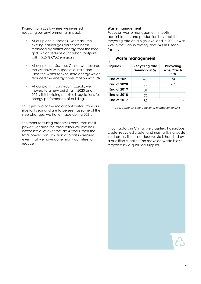Project from 2021, where we invested in reducing our environmental impact:

- At our plant in Horsens, Denmark, the existing natural gas boiler has been replaced by district energy from the local grid, which reduce our carbon footprint with 15,27% CO2 emissions
- At our plant in Suzhou, China, we covered the windows with special curtain and used the water tank to store energy which reduced the energy consumption with 5%
- At our plant in Lanskroun, Czech, we moved to a new building in 2020 and 2021. This building meets all regulations for energy performance of buildings.

This is just two of the major contributors from our side last year and are to be seen as some of the step changes, we have made during 2021.

The manufacturing processes consumes most power. Because the production volume has increased a lot over the last 4 years, then the total power consumption also has increased even that we have done many activities to reduce it.

#### **Waste management**

Focus on waste management in both administration and production has kept the recycling rate on a high level and in 2021 it was 79% in the Danish factory and 74% in Czech factory.

| <b>Injuries</b>    | <b>Recycling rate</b><br>Denmark in % | Recycling<br>rate Czech<br>in $%$ |
|--------------------|---------------------------------------|-----------------------------------|
| <b>End of 2021</b> | 79,1                                  | 74                                |
| <b>End of 2020</b> | 74                                    | 67                                |
| <b>End of 2019</b> | 81                                    |                                   |
| <b>End of 2018</b> | 72                                    |                                   |
| End of 2017        |                                       |                                   |

#### **Waste management**

*See. appendix B for additional information on KPIs*

In our factory in China, we classified hazardous waste, recycled waste, and normal living waste in all areas. The hazardous waste is handled by a qualified supplier. The recycled waste is also recycled by a qualified supplier.

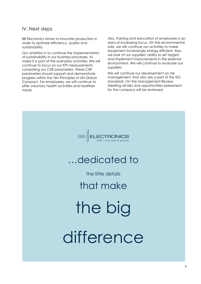## <span id="page-9-0"></span>IV. Next steps

BB Electronics strives to innovate production in order to optimize efficiency, quality and sustainability.

Our ambition is to continue the implementation of sustainability in our business processes, to make it a part of the everyday activities. We will continue to focus on our KPI measurements comprising our CSR parameters. These CSR parameters should support and demonstrate progress within the Ten Principles of UN Global Compact. For employees, we will continue to offer voluntary health activities and healthier meals.

Also, training and education of employees is an area of increasing focus. On the environmental side, we will continue our activities to make equipment increasingly energy efficient. Also, we look at our suppliers' ability to set targets and implement improvements in the external environment. We will continue to evaluate our suppliers.

<span id="page-9-1"></span>We will continue our development on risk management, that also are a part of the ISO standards. On the Management Review Meeting all risks and opportunities assessment for the company will be reviewed.

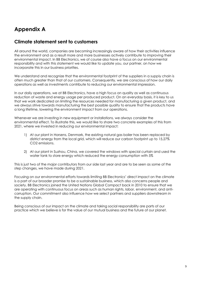## **Appendix A**

## <span id="page-10-0"></span>**Climate statement sent to customers**

All around the world, companies are becoming increasingly aware of how their activities influence the environment and as a result more and more businesses actively contribute to improving their environmental impact. In BB Electronics, we of course also have a focus on our environmental responsibility and with this statement we would like to update you, our partner, on how we incorporate this in our business priorities.

We understand and recognize that the environmental footprint of the suppliers in a supply chain is often much greater than that of our customers. Consequently, we are conscious of how our daily operations as well as investments contribute to reducing our environmental impression.

In our daily operations, we at BB Electronics, have a high focus on quality as well as continuous reduction of waste and energy usage per produced product. On an everyday basis, it is key to us that we work dedicated on limiting the resources needed for manufacturing a given product, and we always strive towards manufacturing the best possible quality to ensure that the products have a long lifetime, lowering the environment impact from our operations.

Whenever we are investing in new equipment or installations, we always consider the environmental effect. To illustrate this, we would like to share two concrete examples of this from 2021, where we invested in reducing our environmental impact:

- 1) At our plant in Horsens, Denmark, the existing natural gas boiler has been replaced by district energy from the local grid, which will reduce our carbon footprint up to 15,27% CO2 emissions.
- 2) At our plant in Suzhou, China, we covered the windows with special curtain and used the water tank to store energy which reduced the energy consumption with 5%

This is just two of the major contributors from our side last year and are to be seen as some of the step changes, we have made during 2021.

Focusing on our environmental efforts towards limiting BB Electronics' direct impact on the climate is a part of our broader promise to be a sustainable business, which also concerns people and society. BB Electronics joined the United Nations Global Compact back in 2010 to ensure that we are operating with continuous focus on areas such as human rights, labor, environment, and anticorruption. Our commitment also influence how we select partners and suppliers downstream in the supply chain.

Being conscious of our impact on the climate and taking social responsibility are parts of our practice which we believe is for the value of our mutual business and the future of our planet.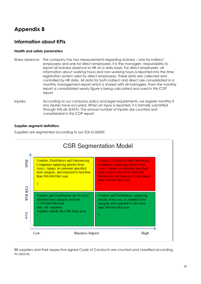## **Appendix B**

## **Information about KPIs**

#### **Health and safety parameters**

- Illness absence: The company has two measurements regarding sickness one for indirect employees and one for direct employees. It is the managers' responsibility to report all sickness absence to HR on a daily basis. For direct employees, all information about working hours and non-working hours is reported into the time registration system used by direct employees. These data are collected and controlled by HR daily. All data for both indirect and direct are consolidated in a monthly management report which is shared with all managers. From the monthly report a consolidated yearly figure is being calculated and used in this COP report.
- Injuries: According to our company policy and legal requirements, we register monthly if any injuries have occurred. When an injury is reported, it is formally submitted through Virk.dk (EASY). The annual number of injuries are counted and consolidated in this COP report.

#### **Supplier segment definition:**

Suppliers are segmented according to our SOI-G-06005:



#### BB suppliers and their respective signed Code of Conducts are counted and classified according to above.